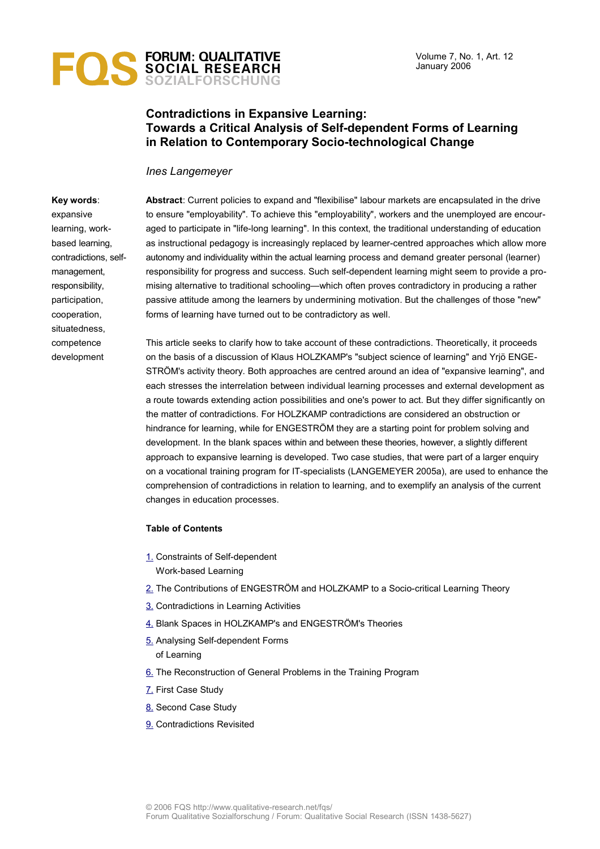

## **Contradictions in Expansive Learning: Towards a Critical Analysis of Self-dependent Forms of Learning in Relation to Contemporary Socio-technological Change**

#### *Ines Langemeyer*

### **Key words**: expansive learning, workbased learning, contradictions, selfmanagement, responsibility, participation, cooperation, situatedness, competence development

**Abstract**: Current policies to expand and "flexibilise" labour markets are encapsulated in the drive to ensure "employability". To achieve this "employability", workers and the unemployed are encouraged to participate in "life-long learning". In this context, the traditional understanding of education as instructional pedagogy is increasingly replaced by learner-centred approaches which allow more autonomy and individuality within the actual learning process and demand greater personal (learner) responsibility for progress and success. Such self-dependent learning might seem to provide a promising alternative to traditional schooling—which often proves contradictory in producing a rather passive attitude among the learners by undermining motivation. But the challenges of those "new" forms of learning have turned out to be contradictory as well.

This article seeks to clarify how to take account of these contradictions. Theoretically, it proceeds on the basis of a discussion of Klaus HOLZKAMP's "subject science of learning" and Yrjö ENGE-STRÖM's activity theory. Both approaches are centred around an idea of "expansive learning", and each stresses the interrelation between individual learning processes and external development as a route towards extending action possibilities and one's power to act. But they differ significantly on the matter of contradictions. For HOLZKAMP contradictions are considered an obstruction or hindrance for learning, while for ENGESTRÖM they are a starting point for problem solving and development. In the blank spaces within and between these theories, however, a slightly different approach to expansive learning is developed. Two case studies, that were part of a larger enquiry on a vocational training program for IT-specialists (LANGEMEYER 2005a), are used to enhance the comprehension of contradictions in relation to learning, and to exemplify an analysis of the current changes in education processes.

#### **Table of Contents**

- [1.](#page-1-0) Constraints of Self-dependent Work-based Learning
- [2.](#page-2-0) The Contributions of ENGESTRÖM and HOLZKAMP to a Socio-critical Learning Theory
- [3.](#page-3-0) Contradictions in Learning Activities
- [4.](#page-4-0) Blank Spaces in HOLZKAMP's and ENGESTRÖM's Theories
- [5.](#page-6-0) Analysing Self-dependent Forms of Learning
- [6.](#page-9-0) The Reconstruction of General Problems in the Training Program
- [7.](#page-11-0) First Case Study
- [8.](#page-12-0) Second Case Study
- [9.](#page-14-0) Contradictions Revisited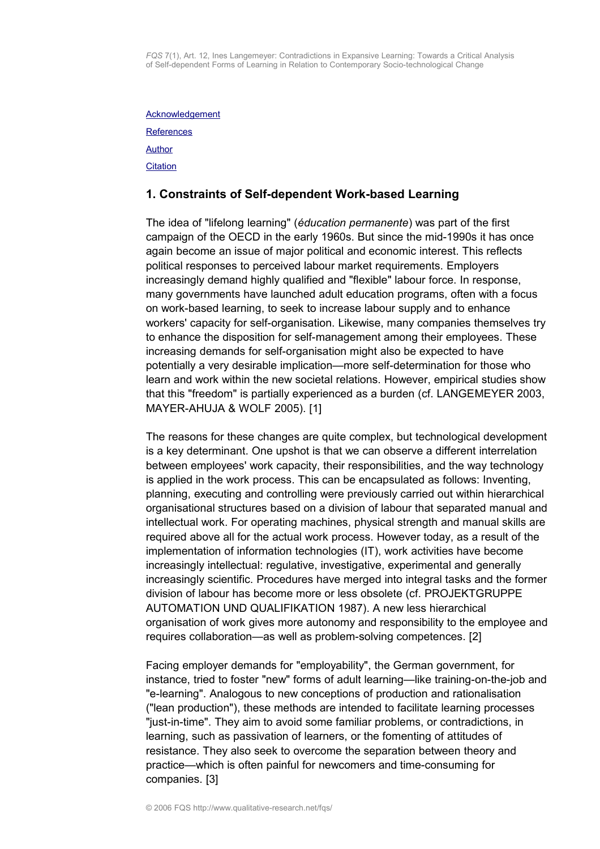**[Acknowledgement](#page-15-1) [References](#page-15-0)** [Author](#page-16-1) **[Citation](#page-16-0)** 

### <span id="page-1-0"></span>**1. Constraints of Self-dependent Work-based Learning**

The idea of "lifelong learning" (*éducation permanente*) was part of the first campaign of the OECD in the early 1960s. But since the mid-1990s it has once again become an issue of major political and economic interest. This reflects political responses to perceived labour market requirements. Employers increasingly demand highly qualified and "flexible" labour force. In response, many governments have launched adult education programs, often with a focus on work-based learning, to seek to increase labour supply and to enhance workers' capacity for self-organisation. Likewise, many companies themselves try to enhance the disposition for self-management among their employees. These increasing demands for self-organisation might also be expected to have potentially a very desirable implication—more self-determination for those who learn and work within the new societal relations. However, empirical studies show that this "freedom" is partially experienced as a burden (cf. LANGEMEYER 2003, MAYER-AHUJA & WOLF 2005). [1]

The reasons for these changes are quite complex, but technological development is a key determinant. One upshot is that we can observe a different interrelation between employees' work capacity, their responsibilities, and the way technology is applied in the work process. This can be encapsulated as follows: Inventing, planning, executing and controlling were previously carried out within hierarchical organisational structures based on a division of labour that separated manual and intellectual work. For operating machines, physical strength and manual skills are required above all for the actual work process. However today, as a result of the implementation of information technologies (IT), work activities have become increasingly intellectual: regulative, investigative, experimental and generally increasingly scientific. Procedures have merged into integral tasks and the former division of labour has become more or less obsolete (cf. PROJEKTGRUPPE AUTOMATION UND QUALIFIKATION 1987). A new less hierarchical organisation of work gives more autonomy and responsibility to the employee and requires collaboration—as well as problem-solving competences. [2]

Facing employer demands for "employability", the German government, for instance, tried to foster "new" forms of adult learning—like training-on-the-job and "e-learning". Analogous to new conceptions of production and rationalisation ("lean production"), these methods are intended to facilitate learning processes "just-in-time". They aim to avoid some familiar problems, or contradictions, in learning, such as passivation of learners, or the fomenting of attitudes of resistance. They also seek to overcome the separation between theory and practice—which is often painful for newcomers and time-consuming for companies. [3]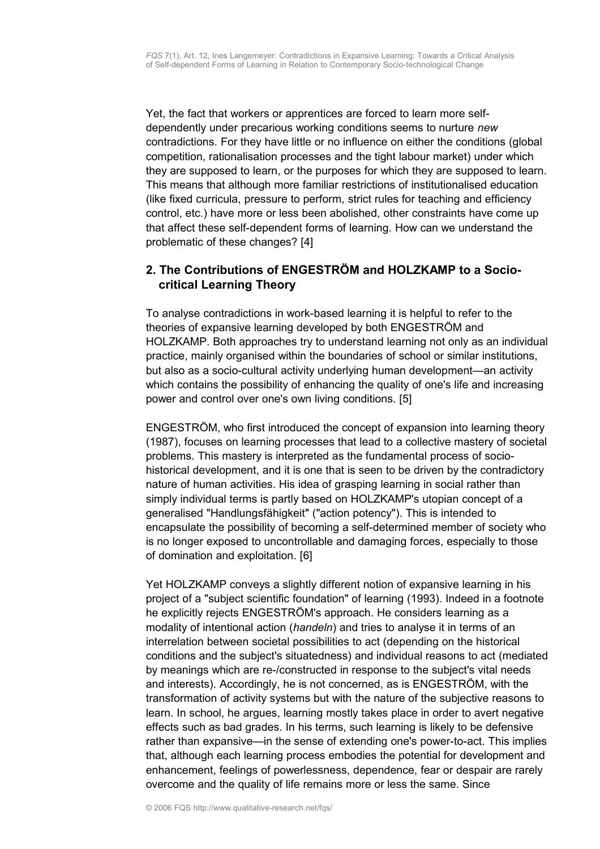Yet, the fact that workers or apprentices are forced to learn more selfdependently under precarious working conditions seems to nurture *new* contradictions. For they have little or no influence on either the conditions (global competition, rationalisation processes and the tight labour market) under which they are supposed to learn, or the purposes for which they are supposed to learn. This means that although more familiar restrictions of institutionalised education (like fixed curricula, pressure to perform, strict rules for teaching and efficiency control, etc.) have more or less been abolished, other constraints have come up that affect these self-dependent forms of learning. How can we understand the problematic of these changes? [4]

# <span id="page-2-0"></span>**2. The Contributions of ENGESTRÖM and HOLZKAMP to a Sociocritical Learning Theory**

To analyse contradictions in work-based learning it is helpful to refer to the theories of expansive learning developed by both ENGESTRÖM and HOLZKAMP. Both approaches try to understand learning not only as an individual practice, mainly organised within the boundaries of school or similar institutions, but also as a socio-cultural activity underlying human development—an activity which contains the possibility of enhancing the quality of one's life and increasing power and control over one's own living conditions. [5]

ENGESTRÖM, who first introduced the concept of expansion into learning theory (1987), focuses on learning processes that lead to a collective mastery of societal problems. This mastery is interpreted as the fundamental process of sociohistorical development, and it is one that is seen to be driven by the contradictory nature of human activities. His idea of grasping learning in social rather than simply individual terms is partly based on HOLZKAMP's utopian concept of a generalised "Handlungsfähigkeit" ("action potency"). This is intended to encapsulate the possibility of becoming a self-determined member of society who is no longer exposed to uncontrollable and damaging forces, especially to those of domination and exploitation. [6]

Yet HOLZKAMP conveys a slightly different notion of expansive learning in his project of a "subject scientific foundation" of learning (1993). Indeed in a footnote he explicitly rejects ENGESTRÖM's approach. He considers learning as a modality of intentional action (*handeln*) and tries to analyse it in terms of an interrelation between societal possibilities to act (depending on the historical conditions and the subject's situatedness) and individual reasons to act (mediated by meanings which are re-/constructed in response to the subject's vital needs and interests). Accordingly, he is not concerned, as is ENGESTRÖM, with the transformation of activity systems but with the nature of the subjective reasons to learn. In school, he argues, learning mostly takes place in order to avert negative effects such as bad grades. In his terms, such learning is likely to be defensive rather than expansive—in the sense of extending one's power-to-act. This implies that, although each learning process embodies the potential for development and enhancement, feelings of powerlessness, dependence, fear or despair are rarely overcome and the quality of life remains more or less the same. Since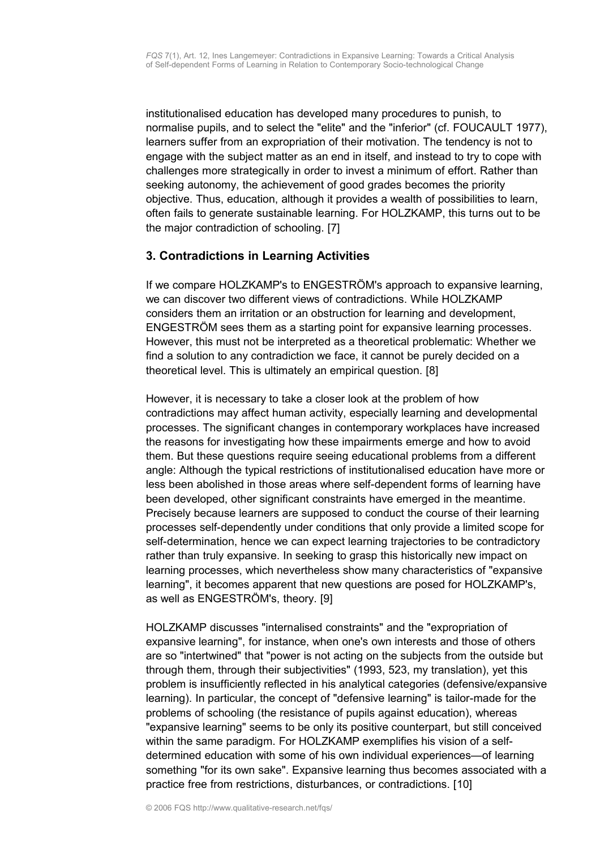institutionalised education has developed many procedures to punish, to normalise pupils, and to select the "elite" and the "inferior" (cf. FOUCAULT 1977), learners suffer from an expropriation of their motivation. The tendency is not to engage with the subject matter as an end in itself, and instead to try to cope with challenges more strategically in order to invest a minimum of effort. Rather than seeking autonomy, the achievement of good grades becomes the priority objective. Thus, education, although it provides a wealth of possibilities to learn, often fails to generate sustainable learning. For HOLZKAMP, this turns out to be the major contradiction of schooling. [7]

## <span id="page-3-0"></span>**3. Contradictions in Learning Activities**

If we compare HOLZKAMP's to ENGESTRÖM's approach to expansive learning, we can discover two different views of contradictions. While HOLZKAMP considers them an irritation or an obstruction for learning and development, ENGESTRÖM sees them as a starting point for expansive learning processes. However, this must not be interpreted as a theoretical problematic: Whether we find a solution to any contradiction we face, it cannot be purely decided on a theoretical level. This is ultimately an empirical question. [8]

However, it is necessary to take a closer look at the problem of how contradictions may affect human activity, especially learning and developmental processes. The significant changes in contemporary workplaces have increased the reasons for investigating how these impairments emerge and how to avoid them. But these questions require seeing educational problems from a different angle: Although the typical restrictions of institutionalised education have more or less been abolished in those areas where self-dependent forms of learning have been developed, other significant constraints have emerged in the meantime. Precisely because learners are supposed to conduct the course of their learning processes self-dependently under conditions that only provide a limited scope for self-determination, hence we can expect learning trajectories to be contradictory rather than truly expansive. In seeking to grasp this historically new impact on learning processes, which nevertheless show many characteristics of "expansive learning", it becomes apparent that new questions are posed for HOLZKAMP's, as well as ENGESTRÖM's, theory. [9]

HOLZKAMP discusses "internalised constraints" and the "expropriation of expansive learning", for instance, when one's own interests and those of others are so "intertwined" that "power is not acting on the subjects from the outside but through them, through their subjectivities" (1993, 523, my translation), yet this problem is insufficiently reflected in his analytical categories (defensive/expansive learning). In particular, the concept of "defensive learning" is tailor-made for the problems of schooling (the resistance of pupils against education), whereas "expansive learning" seems to be only its positive counterpart, but still conceived within the same paradigm. For HOLZKAMP exemplifies his vision of a selfdetermined education with some of his own individual experiences—of learning something "for its own sake". Expansive learning thus becomes associated with a practice free from restrictions, disturbances, or contradictions. [10]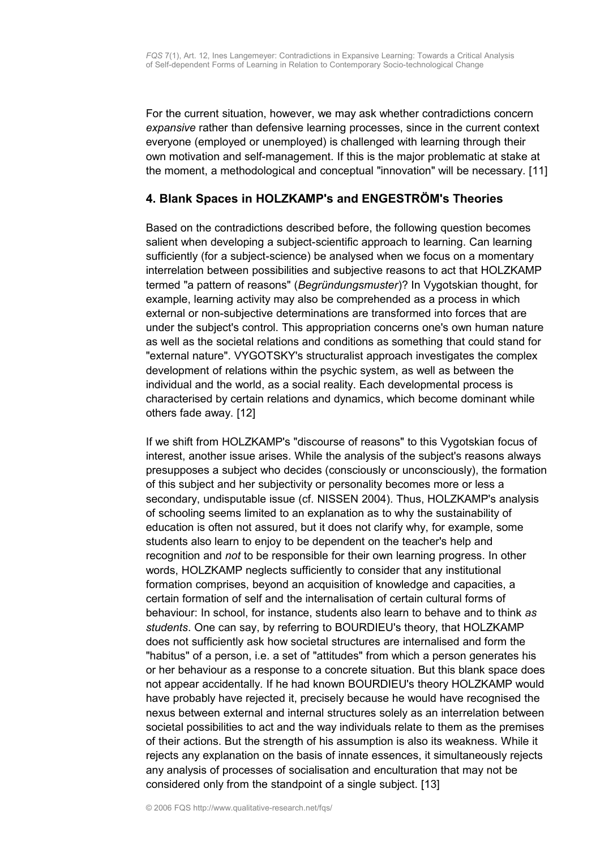For the current situation, however, we may ask whether contradictions concern *expansive* rather than defensive learning processes, since in the current context everyone (employed or unemployed) is challenged with learning through their own motivation and self-management. If this is the major problematic at stake at the moment, a methodological and conceptual "innovation" will be necessary. [11]

## <span id="page-4-0"></span>**4. Blank Spaces in HOLZKAMP's and ENGESTRÖM's Theories**

Based on the contradictions described before, the following question becomes salient when developing a subject-scientific approach to learning. Can learning sufficiently (for a subject-science) be analysed when we focus on a momentary interrelation between possibilities and subjective reasons to act that HOLZKAMP termed "a pattern of reasons" (*Begründungsmuster*)? In Vygotskian thought, for example, learning activity may also be comprehended as a process in which external or non-subjective determinations are transformed into forces that are under the subject's control. This appropriation concerns one's own human nature as well as the societal relations and conditions as something that could stand for "external nature". VYGOTSKY's structuralist approach investigates the complex development of relations within the psychic system, as well as between the individual and the world, as a social reality. Each developmental process is characterised by certain relations and dynamics, which become dominant while others fade away. [12]

If we shift from HOLZKAMP's "discourse of reasons" to this Vygotskian focus of interest, another issue arises. While the analysis of the subject's reasons always presupposes a subject who decides (consciously or unconsciously), the formation of this subject and her subjectivity or personality becomes more or less a secondary, undisputable issue (cf. NISSEN 2004). Thus, HOLZKAMP's analysis of schooling seems limited to an explanation as to why the sustainability of education is often not assured, but it does not clarify why, for example, some students also learn to enjoy to be dependent on the teacher's help and recognition and *not* to be responsible for their own learning progress. In other words, HOLZKAMP neglects sufficiently to consider that any institutional formation comprises, beyond an acquisition of knowledge and capacities, a certain formation of self and the internalisation of certain cultural forms of behaviour: In school, for instance, students also learn to behave and to think *as students*. One can say, by referring to BOURDIEU's theory, that HOLZKAMP does not sufficiently ask how societal structures are internalised and form the "habitus" of a person, i.e. a set of "attitudes" from which a person generates his or her behaviour as a response to a concrete situation. But this blank space does not appear accidentally. If he had known BOURDIEU's theory HOLZKAMP would have probably have rejected it, precisely because he would have recognised the nexus between external and internal structures solely as an interrelation between societal possibilities to act and the way individuals relate to them as the premises of their actions. But the strength of his assumption is also its weakness. While it rejects any explanation on the basis of innate essences, it simultaneously rejects any analysis of processes of socialisation and enculturation that may not be considered only from the standpoint of a single subject. [13]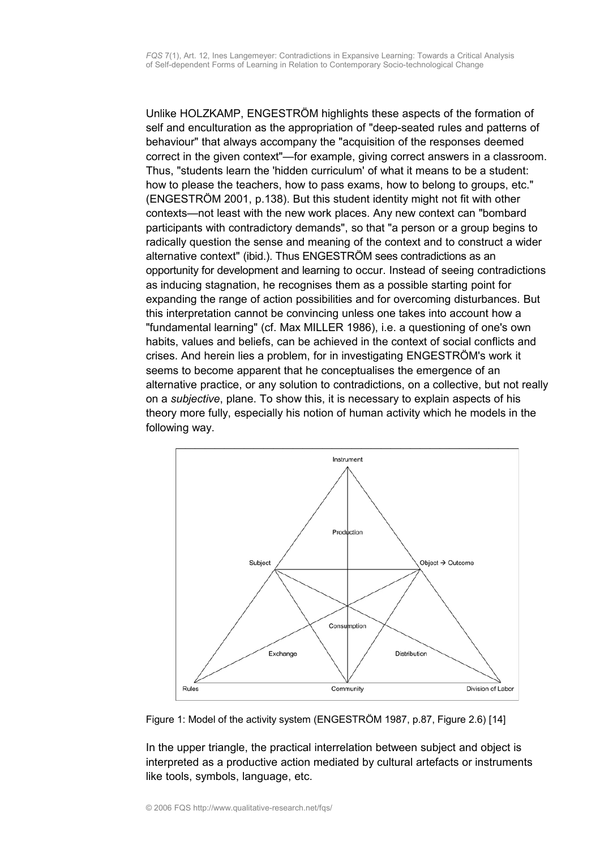Unlike HOLZKAMP, ENGESTRÖM highlights these aspects of the formation of self and enculturation as the appropriation of "deep-seated rules and patterns of behaviour" that always accompany the "acquisition of the responses deemed correct in the given context"—for example, giving correct answers in a classroom. Thus, "students learn the 'hidden curriculum' of what it means to be a student: how to please the teachers, how to pass exams, how to belong to groups, etc." (ENGESTRÖM 2001, p.138). But this student identity might not fit with other contexts—not least with the new work places. Any new context can "bombard participants with contradictory demands", so that "a person or a group begins to radically question the sense and meaning of the context and to construct a wider alternative context" (ibid.). Thus ENGESTRÖM sees contradictions as an opportunity for development and learning to occur. Instead of seeing contradictions as inducing stagnation, he recognises them as a possible starting point for expanding the range of action possibilities and for overcoming disturbances. But this interpretation cannot be convincing unless one takes into account how a "fundamental learning" (cf. Max MILLER 1986), i.e. a questioning of one's own habits, values and beliefs, can be achieved in the context of social conflicts and crises. And herein lies a problem, for in investigating ENGESTRÖM's work it seems to become apparent that he conceptualises the emergence of an alternative practice, or any solution to contradictions, on a collective, but not really on a *subjective*, plane. To show this, it is necessary to explain aspects of his theory more fully, especially his notion of human activity which he models in the following way.



Figure 1: Model of the activity system (ENGESTRÖM 1987, p.87, Figure 2.6) [14]

In the upper triangle, the practical interrelation between subject and object is interpreted as a productive action mediated by cultural artefacts or instruments like tools, symbols, language, etc.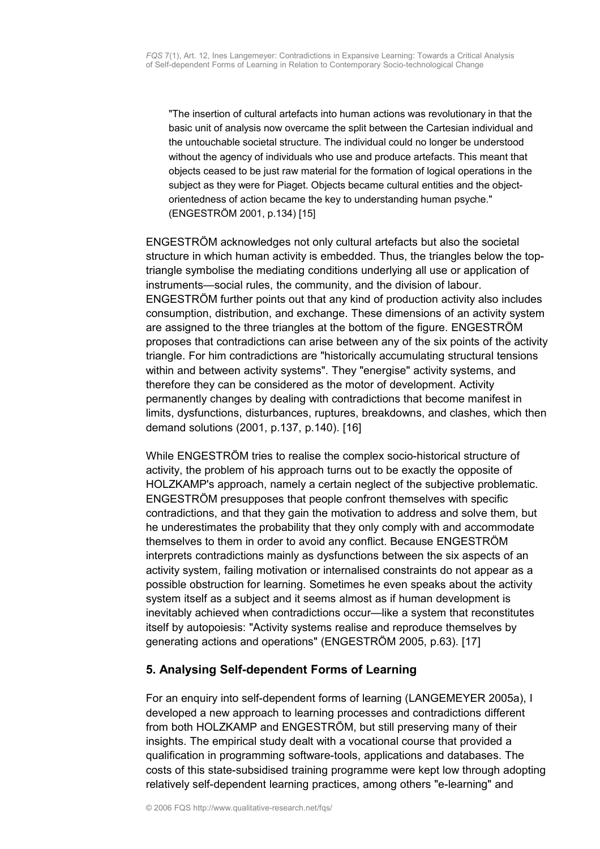"The insertion of cultural artefacts into human actions was revolutionary in that the basic unit of analysis now overcame the split between the Cartesian individual and the untouchable societal structure. The individual could no longer be understood without the agency of individuals who use and produce artefacts. This meant that objects ceased to be just raw material for the formation of logical operations in the subject as they were for Piaget. Objects became cultural entities and the objectorientedness of action became the key to understanding human psyche." (ENGESTRÖM 2001, p.134) [15]

ENGESTRÖM acknowledges not only cultural artefacts but also the societal structure in which human activity is embedded. Thus, the triangles below the toptriangle symbolise the mediating conditions underlying all use or application of instruments—social rules, the community, and the division of labour. ENGESTRÖM further points out that any kind of production activity also includes consumption, distribution, and exchange. These dimensions of an activity system are assigned to the three triangles at the bottom of the figure. ENGESTRÖM proposes that contradictions can arise between any of the six points of the activity triangle. For him contradictions are "historically accumulating structural tensions within and between activity systems". They "energise" activity systems, and therefore they can be considered as the motor of development. Activity permanently changes by dealing with contradictions that become manifest in limits, dysfunctions, disturbances, ruptures, breakdowns, and clashes, which then demand solutions (2001, p.137, p.140). [16]

While ENGESTRÖM tries to realise the complex socio-historical structure of activity, the problem of his approach turns out to be exactly the opposite of HOLZKAMP's approach, namely a certain neglect of the subjective problematic. ENGESTRÖM presupposes that people confront themselves with specific contradictions, and that they gain the motivation to address and solve them, but he underestimates the probability that they only comply with and accommodate themselves to them in order to avoid any conflict. Because ENGESTRÖM interprets contradictions mainly as dysfunctions between the six aspects of an activity system, failing motivation or internalised constraints do not appear as a possible obstruction for learning. Sometimes he even speaks about the activity system itself as a subject and it seems almost as if human development is inevitably achieved when contradictions occur—like a system that reconstitutes itself by autopoiesis: "Activity systems realise and reproduce themselves by generating actions and operations" (ENGESTRÖM 2005, p.63). [17]

# <span id="page-6-0"></span>**5. Analysing Self-dependent Forms of Learning**

For an enquiry into self-dependent forms of learning (LANGEMEYER 2005a), I developed a new approach to learning processes and contradictions different from both HOLZKAMP and ENGESTRÖM, but still preserving many of their insights. The empirical study dealt with a vocational course that provided a qualification in programming software-tools, applications and databases. The costs of this state-subsidised training programme were kept low through adopting relatively self-dependent learning practices, among others "e-learning" and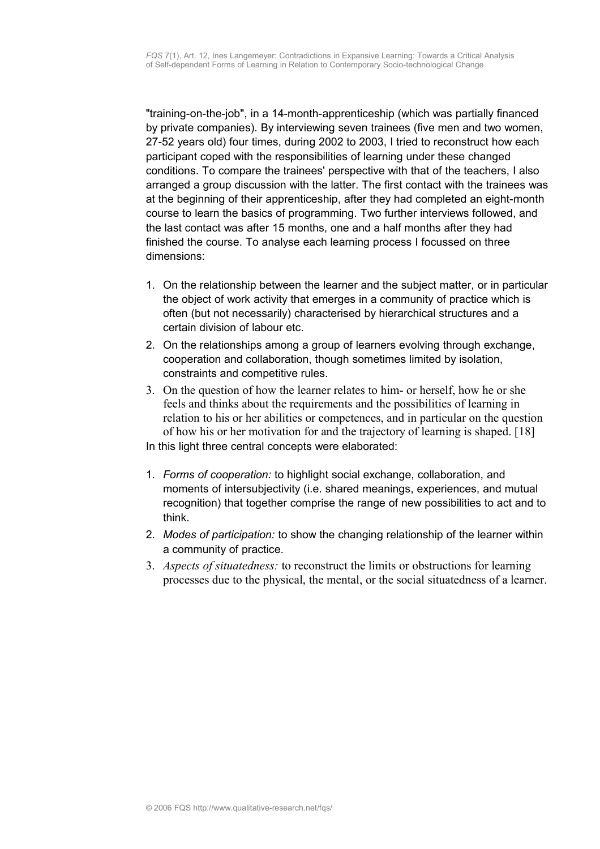"training-on-the-job", in a 14-month-apprenticeship (which was partially financed by private companies). By interviewing seven trainees (five men and two women, 27-52 years old) four times, during 2002 to 2003, I tried to reconstruct how each participant coped with the responsibilities of learning under these changed conditions. To compare the trainees' perspective with that of the teachers, I also arranged a group discussion with the latter. The first contact with the trainees was at the beginning of their apprenticeship, after they had completed an eight-month course to learn the basics of programming. Two further interviews followed, and the last contact was after 15 months, one and a half months after they had finished the course. To analyse each learning process I focussed on three dimensions:

- 1. On the relationship between the learner and the subject matter, or in particular the object of work activity that emerges in a community of practice which is often (but not necessarily) characterised by hierarchical structures and a certain division of labour etc.
- 2. On the relationships among a group of learners evolving through exchange, cooperation and collaboration, though sometimes limited by isolation, constraints and competitive rules.
- 3. On the question of how the learner relates to him- or herself, how he or she feels and thinks about the requirements and the possibilities of learning in relation to his or her abilities or competences, and in particular on the question of how his or her motivation for and the trajectory of learning is shaped. [18] In this light three central concepts were elaborated:
- 1. *Forms of cooperation:* to highlight social exchange, collaboration, and moments of intersubjectivity (i.e. shared meanings, experiences, and mutual recognition) that together comprise the range of new possibilities to act and to think.
- 2. *Modes of participation:* to show the changing relationship of the learner within a community of practice.
- 3. *Aspects of situatedness:* to reconstruct the limits or obstructions for learning processes due to the physical, the mental, or the social situatedness of a learner.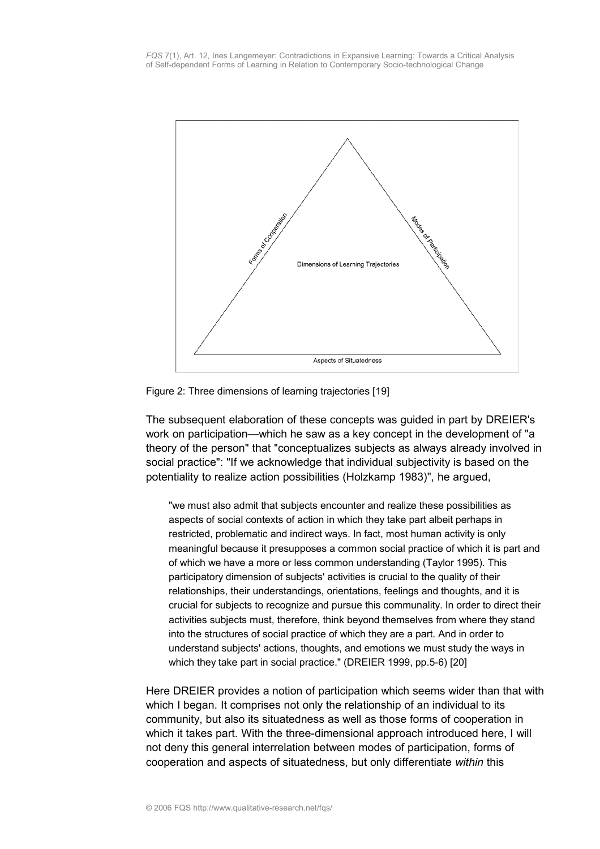

Figure 2: Three dimensions of learning trajectories [19]

The subsequent elaboration of these concepts was guided in part by DREIER's work on participation—which he saw as a key concept in the development of "a theory of the person" that "conceptualizes subjects as always already involved in social practice": "If we acknowledge that individual subjectivity is based on the potentiality to realize action possibilities (Holzkamp 1983)", he argued,

"we must also admit that subjects encounter and realize these possibilities as aspects of social contexts of action in which they take part albeit perhaps in restricted, problematic and indirect ways. In fact, most human activity is only meaningful because it presupposes a common social practice of which it is part and of which we have a more or less common understanding (Taylor 1995). This participatory dimension of subjects' activities is crucial to the quality of their relationships, their understandings, orientations, feelings and thoughts, and it is crucial for subjects to recognize and pursue this communality. In order to direct their activities subjects must, therefore, think beyond themselves from where they stand into the structures of social practice of which they are a part. And in order to understand subjects' actions, thoughts, and emotions we must study the ways in which they take part in social practice." (DREIER 1999, pp.5-6) [20]

Here DREIER provides a notion of participation which seems wider than that with which I began. It comprises not only the relationship of an individual to its community, but also its situatedness as well as those forms of cooperation in which it takes part. With the three-dimensional approach introduced here, I will not deny this general interrelation between modes of participation, forms of cooperation and aspects of situatedness, but only differentiate *within* this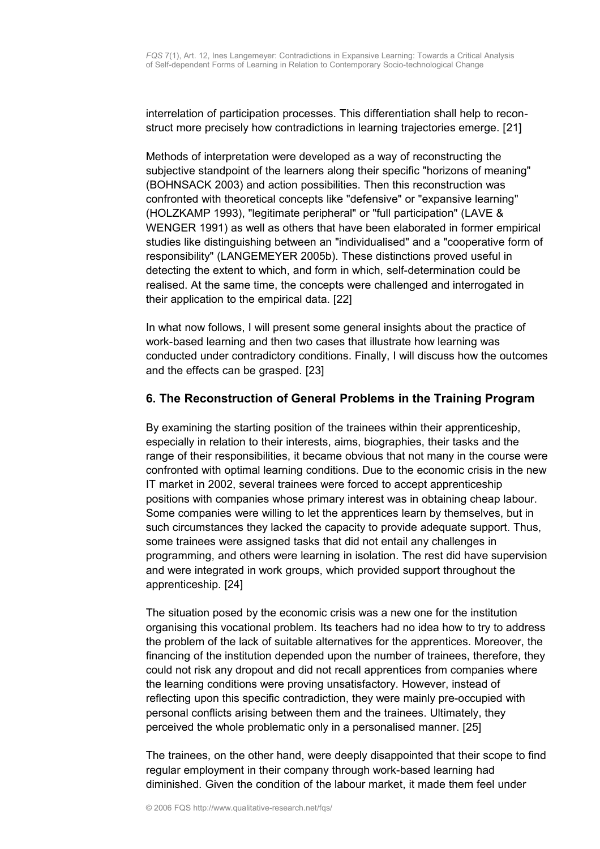interrelation of participation processes. This differentiation shall help to reconstruct more precisely how contradictions in learning trajectories emerge. [21]

Methods of interpretation were developed as a way of reconstructing the subjective standpoint of the learners along their specific "horizons of meaning" (BOHNSACK 2003) and action possibilities. Then this reconstruction was confronted with theoretical concepts like "defensive" or "expansive learning" (HOLZKAMP 1993), "legitimate peripheral" or "full participation" (LAVE & WENGER 1991) as well as others that have been elaborated in former empirical studies like distinguishing between an "individualised" and a "cooperative form of responsibility" (LANGEMEYER 2005b). These distinctions proved useful in detecting the extent to which, and form in which, self-determination could be realised. At the same time, the concepts were challenged and interrogated in their application to the empirical data. [22]

In what now follows, I will present some general insights about the practice of work-based learning and then two cases that illustrate how learning was conducted under contradictory conditions. Finally, I will discuss how the outcomes and the effects can be grasped. [23]

## <span id="page-9-0"></span>**6. The Reconstruction of General Problems in the Training Program**

By examining the starting position of the trainees within their apprenticeship, especially in relation to their interests, aims, biographies, their tasks and the range of their responsibilities, it became obvious that not many in the course were confronted with optimal learning conditions. Due to the economic crisis in the new IT market in 2002, several trainees were forced to accept apprenticeship positions with companies whose primary interest was in obtaining cheap labour. Some companies were willing to let the apprentices learn by themselves, but in such circumstances they lacked the capacity to provide adequate support. Thus, some trainees were assigned tasks that did not entail any challenges in programming, and others were learning in isolation. The rest did have supervision and were integrated in work groups, which provided support throughout the apprenticeship. [24]

The situation posed by the economic crisis was a new one for the institution organising this vocational problem. Its teachers had no idea how to try to address the problem of the lack of suitable alternatives for the apprentices. Moreover, the financing of the institution depended upon the number of trainees, therefore, they could not risk any dropout and did not recall apprentices from companies where the learning conditions were proving unsatisfactory. However, instead of reflecting upon this specific contradiction, they were mainly pre-occupied with personal conflicts arising between them and the trainees. Ultimately, they perceived the whole problematic only in a personalised manner. [25]

The trainees, on the other hand, were deeply disappointed that their scope to find regular employment in their company through work-based learning had diminished. Given the condition of the labour market, it made them feel under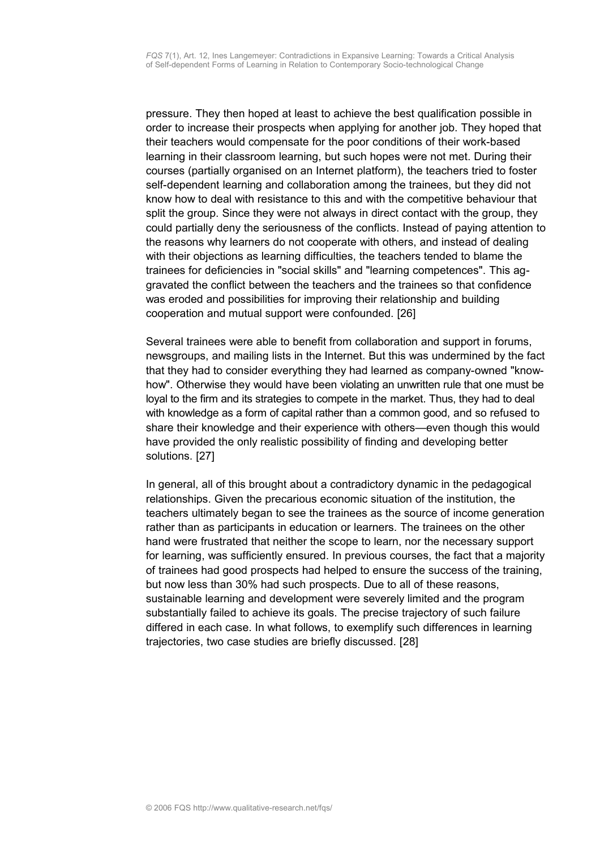pressure. They then hoped at least to achieve the best qualification possible in order to increase their prospects when applying for another job. They hoped that their teachers would compensate for the poor conditions of their work-based learning in their classroom learning, but such hopes were not met. During their courses (partially organised on an Internet platform), the teachers tried to foster self-dependent learning and collaboration among the trainees, but they did not know how to deal with resistance to this and with the competitive behaviour that split the group. Since they were not always in direct contact with the group, they could partially deny the seriousness of the conflicts. Instead of paying attention to the reasons why learners do not cooperate with others, and instead of dealing with their objections as learning difficulties, the teachers tended to blame the trainees for deficiencies in "social skills" and "learning competences". This aggravated the conflict between the teachers and the trainees so that confidence was eroded and possibilities for improving their relationship and building cooperation and mutual support were confounded. [26]

Several trainees were able to benefit from collaboration and support in forums, newsgroups, and mailing lists in the Internet. But this was undermined by the fact that they had to consider everything they had learned as company-owned "knowhow". Otherwise they would have been violating an unwritten rule that one must be loyal to the firm and its strategies to compete in the market. Thus, they had to deal with knowledge as a form of capital rather than a common good, and so refused to share their knowledge and their experience with others—even though this would have provided the only realistic possibility of finding and developing better solutions. [27]

In general, all of this brought about a contradictory dynamic in the pedagogical relationships. Given the precarious economic situation of the institution, the teachers ultimately began to see the trainees as the source of income generation rather than as participants in education or learners. The trainees on the other hand were frustrated that neither the scope to learn, nor the necessary support for learning, was sufficiently ensured. In previous courses, the fact that a majority of trainees had good prospects had helped to ensure the success of the training, but now less than 30% had such prospects. Due to all of these reasons, sustainable learning and development were severely limited and the program substantially failed to achieve its goals. The precise trajectory of such failure differed in each case. In what follows, to exemplify such differences in learning trajectories, two case studies are briefly discussed. [28]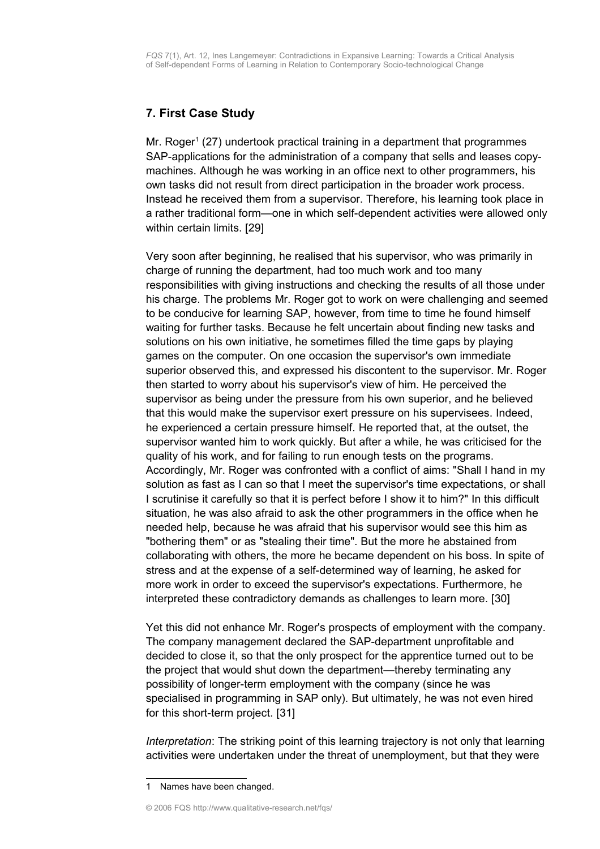# <span id="page-11-0"></span>**7. First Case Study**

Mr. Roger<sup>[1](#page-11-1)</sup> (27) undertook practical training in a department that programmes SAP-applications for the administration of a company that sells and leases copymachines. Although he was working in an office next to other programmers, his own tasks did not result from direct participation in the broader work process. Instead he received them from a supervisor. Therefore, his learning took place in a rather traditional form—one in which self-dependent activities were allowed only within certain limits. [29]

Very soon after beginning, he realised that his supervisor, who was primarily in charge of running the department, had too much work and too many responsibilities with giving instructions and checking the results of all those under his charge. The problems Mr. Roger got to work on were challenging and seemed to be conducive for learning SAP, however, from time to time he found himself waiting for further tasks. Because he felt uncertain about finding new tasks and solutions on his own initiative, he sometimes filled the time gaps by playing games on the computer. On one occasion the supervisor's own immediate superior observed this, and expressed his discontent to the supervisor. Mr. Roger then started to worry about his supervisor's view of him. He perceived the supervisor as being under the pressure from his own superior, and he believed that this would make the supervisor exert pressure on his supervisees. Indeed, he experienced a certain pressure himself. He reported that, at the outset, the supervisor wanted him to work quickly. But after a while, he was criticised for the quality of his work, and for failing to run enough tests on the programs. Accordingly, Mr. Roger was confronted with a conflict of aims: "Shall I hand in my solution as fast as I can so that I meet the supervisor's time expectations, or shall I scrutinise it carefully so that it is perfect before I show it to him?" In this difficult situation, he was also afraid to ask the other programmers in the office when he needed help, because he was afraid that his supervisor would see this him as "bothering them" or as "stealing their time". But the more he abstained from collaborating with others, the more he became dependent on his boss. In spite of stress and at the expense of a self-determined way of learning, he asked for more work in order to exceed the supervisor's expectations. Furthermore, he interpreted these contradictory demands as challenges to learn more. [30]

Yet this did not enhance Mr. Roger's prospects of employment with the company. The company management declared the SAP-department unprofitable and decided to close it, so that the only prospect for the apprentice turned out to be the project that would shut down the department—thereby terminating any possibility of longer-term employment with the company (since he was specialised in programming in SAP only). But ultimately, he was not even hired for this short-term project. [31]

*Interpretation*: The striking point of this learning trajectory is not only that learning activities were undertaken under the threat of unemployment, but that they were

<span id="page-11-1"></span><sup>1</sup> Names have been changed.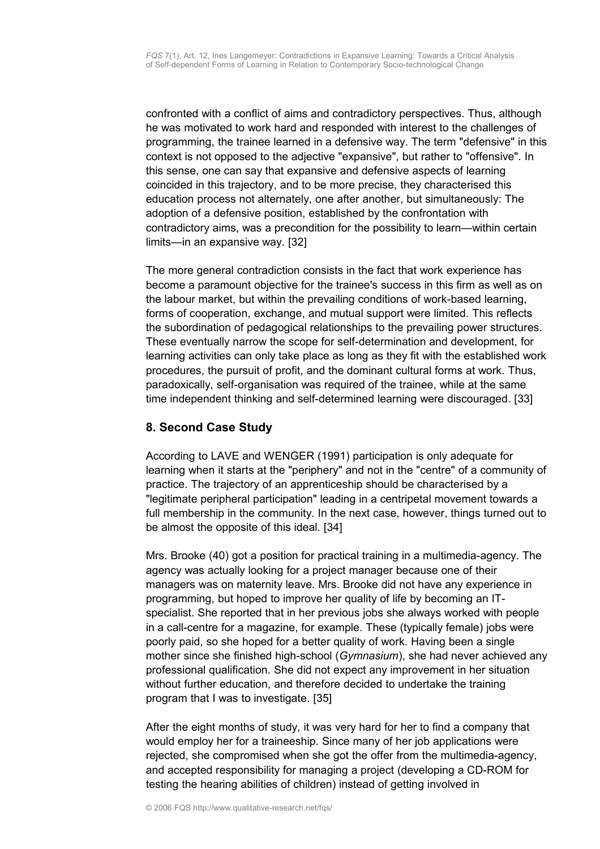confronted with a conflict of aims and contradictory perspectives. Thus, although he was motivated to work hard and responded with interest to the challenges of programming, the trainee learned in a defensive way. The term "defensive" in this context is not opposed to the adjective "expansive", but rather to "offensive". In this sense, one can say that expansive and defensive aspects of learning coincided in this trajectory, and to be more precise, they characterised this education process not alternately, one after another, but simultaneously: The adoption of a defensive position, established by the confrontation with contradictory aims, was a precondition for the possibility to learn—within certain limits—in an expansive way. [32]

The more general contradiction consists in the fact that work experience has become a paramount objective for the trainee's success in this firm as well as on the labour market, but within the prevailing conditions of work-based learning, forms of cooperation, exchange, and mutual support were limited. This reflects the subordination of pedagogical relationships to the prevailing power structures. These eventually narrow the scope for self-determination and development, for learning activities can only take place as long as they fit with the established work procedures, the pursuit of profit, and the dominant cultural forms at work. Thus, paradoxically, self-organisation was required of the trainee, while at the same time independent thinking and self-determined learning were discouraged. [33]

# <span id="page-12-0"></span>**8. Second Case Study**

According to LAVE and WENGER (1991) participation is only adequate for learning when it starts at the "periphery" and not in the "centre" of a community of practice. The trajectory of an apprenticeship should be characterised by a "legitimate peripheral participation" leading in a centripetal movement towards a full membership in the community. In the next case, however, things turned out to be almost the opposite of this ideal. [34]

Mrs. Brooke (40) got a position for practical training in a multimedia-agency. The agency was actually looking for a project manager because one of their managers was on maternity leave. Mrs. Brooke did not have any experience in programming, but hoped to improve her quality of life by becoming an ITspecialist. She reported that in her previous jobs she always worked with people in a call-centre for a magazine, for example. These (typically female) jobs were poorly paid, so she hoped for a better quality of work. Having been a single mother since she finished high-school (*Gymnasium*), she had never achieved any professional qualification. She did not expect any improvement in her situation without further education, and therefore decided to undertake the training program that I was to investigate. [35]

After the eight months of study, it was very hard for her to find a company that would employ her for a traineeship. Since many of her job applications were rejected, she compromised when she got the offer from the multimedia-agency, and accepted responsibility for managing a project (developing a CD-ROM for testing the hearing abilities of children) instead of getting involved in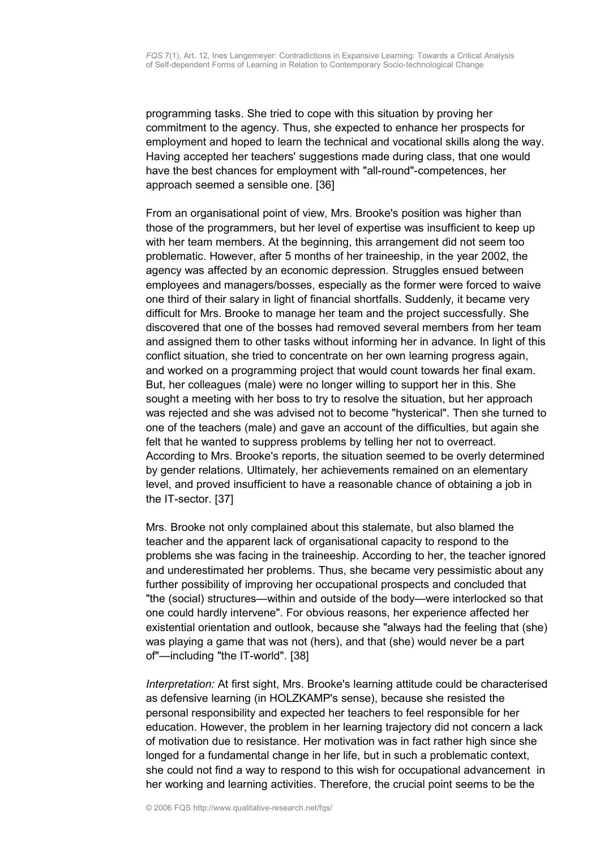programming tasks. She tried to cope with this situation by proving her commitment to the agency. Thus, she expected to enhance her prospects for employment and hoped to learn the technical and vocational skills along the way. Having accepted her teachers' suggestions made during class, that one would have the best chances for employment with "all-round"-competences, her approach seemed a sensible one. [36]

From an organisational point of view, Mrs. Brooke's position was higher than those of the programmers, but her level of expertise was insufficient to keep up with her team members. At the beginning, this arrangement did not seem too problematic. However, after 5 months of her traineeship, in the year 2002, the agency was affected by an economic depression. Struggles ensued between employees and managers/bosses, especially as the former were forced to waive one third of their salary in light of financial shortfalls. Suddenly, it became very difficult for Mrs. Brooke to manage her team and the project successfully. She discovered that one of the bosses had removed several members from her team and assigned them to other tasks without informing her in advance. In light of this conflict situation, she tried to concentrate on her own learning progress again, and worked on a programming project that would count towards her final exam. But, her colleagues (male) were no longer willing to support her in this. She sought a meeting with her boss to try to resolve the situation, but her approach was rejected and she was advised not to become "hysterical". Then she turned to one of the teachers (male) and gave an account of the difficulties, but again she felt that he wanted to suppress problems by telling her not to overreact. According to Mrs. Brooke's reports, the situation seemed to be overly determined by gender relations. Ultimately, her achievements remained on an elementary level, and proved insufficient to have a reasonable chance of obtaining a job in the IT-sector. [37]

Mrs. Brooke not only complained about this stalemate, but also blamed the teacher and the apparent lack of organisational capacity to respond to the problems she was facing in the traineeship. According to her, the teacher ignored and underestimated her problems. Thus, she became very pessimistic about any further possibility of improving her occupational prospects and concluded that "the (social) structures—within and outside of the body—were interlocked so that one could hardly intervene". For obvious reasons, her experience affected her existential orientation and outlook, because she "always had the feeling that (she) was playing a game that was not (hers), and that (she) would never be a part of"—including "the IT-world". [38]

*Interpretation:* At first sight, Mrs. Brooke's learning attitude could be characterised as defensive learning (in HOLZKAMP's sense), because she resisted the personal responsibility and expected her teachers to feel responsible for her education. However, the problem in her learning trajectory did not concern a lack of motivation due to resistance. Her motivation was in fact rather high since she longed for a fundamental change in her life, but in such a problematic context, she could not find a way to respond to this wish for occupational advancement in her working and learning activities. Therefore, the crucial point seems to be the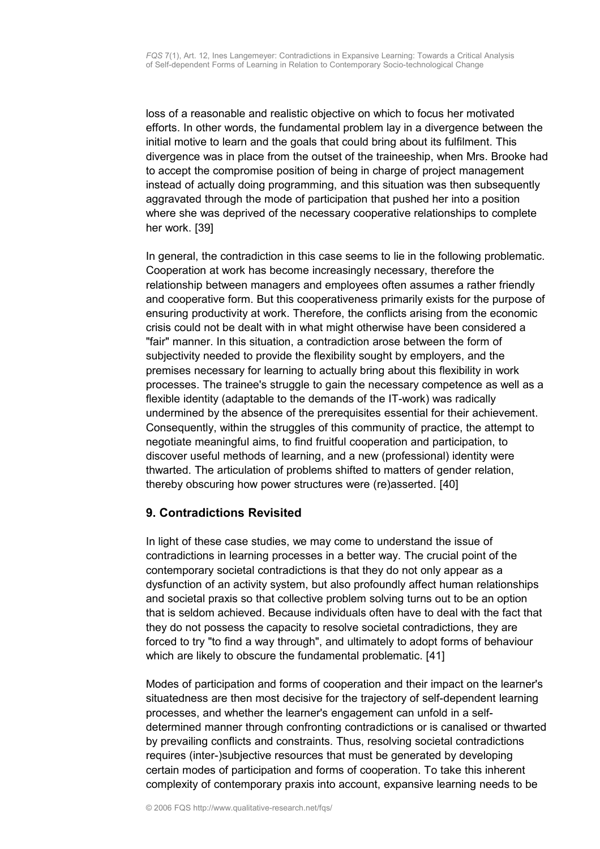loss of a reasonable and realistic objective on which to focus her motivated efforts. In other words, the fundamental problem lay in a divergence between the initial motive to learn and the goals that could bring about its fulfilment. This divergence was in place from the outset of the traineeship, when Mrs. Brooke had to accept the compromise position of being in charge of project management instead of actually doing programming, and this situation was then subsequently aggravated through the mode of participation that pushed her into a position where she was deprived of the necessary cooperative relationships to complete her work. [39]

In general, the contradiction in this case seems to lie in the following problematic. Cooperation at work has become increasingly necessary, therefore the relationship between managers and employees often assumes a rather friendly and cooperative form. But this cooperativeness primarily exists for the purpose of ensuring productivity at work. Therefore, the conflicts arising from the economic crisis could not be dealt with in what might otherwise have been considered a "fair" manner. In this situation, a contradiction arose between the form of subjectivity needed to provide the flexibility sought by employers, and the premises necessary for learning to actually bring about this flexibility in work processes. The trainee's struggle to gain the necessary competence as well as a flexible identity (adaptable to the demands of the IT-work) was radically undermined by the absence of the prerequisites essential for their achievement. Consequently, within the struggles of this community of practice, the attempt to negotiate meaningful aims, to find fruitful cooperation and participation, to discover useful methods of learning, and a new (professional) identity were thwarted. The articulation of problems shifted to matters of gender relation, thereby obscuring how power structures were (re)asserted. [40]

# <span id="page-14-0"></span>**9. Contradictions Revisited**

In light of these case studies, we may come to understand the issue of contradictions in learning processes in a better way. The crucial point of the contemporary societal contradictions is that they do not only appear as a dysfunction of an activity system, but also profoundly affect human relationships and societal praxis so that collective problem solving turns out to be an option that is seldom achieved. Because individuals often have to deal with the fact that they do not possess the capacity to resolve societal contradictions, they are forced to try "to find a way through", and ultimately to adopt forms of behaviour which are likely to obscure the fundamental problematic. [41]

Modes of participation and forms of cooperation and their impact on the learner's situatedness are then most decisive for the trajectory of self-dependent learning processes, and whether the learner's engagement can unfold in a selfdetermined manner through confronting contradictions or is canalised or thwarted by prevailing conflicts and constraints. Thus, resolving societal contradictions requires (inter-)subjective resources that must be generated by developing certain modes of participation and forms of cooperation. To take this inherent complexity of contemporary praxis into account, expansive learning needs to be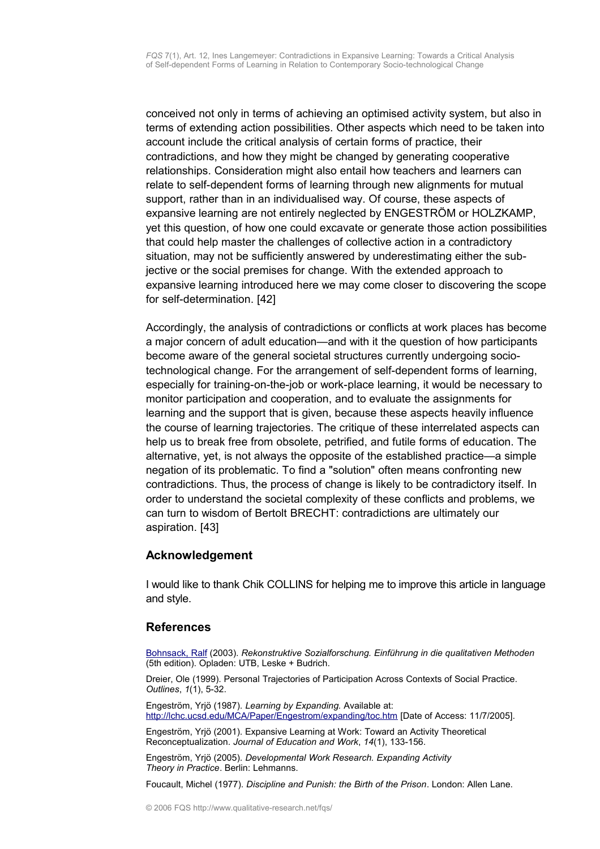conceived not only in terms of achieving an optimised activity system, but also in terms of extending action possibilities. Other aspects which need to be taken into account include the critical analysis of certain forms of practice, their contradictions, and how they might be changed by generating cooperative relationships. Consideration might also entail how teachers and learners can relate to self-dependent forms of learning through new alignments for mutual support, rather than in an individualised way. Of course, these aspects of expansive learning are not entirely neglected by ENGESTRÖM or HOLZKAMP, yet this question, of how one could excavate or generate those action possibilities that could help master the challenges of collective action in a contradictory situation, may not be sufficiently answered by underestimating either the subjective or the social premises for change. With the extended approach to expansive learning introduced here we may come closer to discovering the scope for self-determination. [42]

Accordingly, the analysis of contradictions or conflicts at work places has become a major concern of adult education—and with it the question of how participants become aware of the general societal structures currently undergoing sociotechnological change. For the arrangement of self-dependent forms of learning, especially for training-on-the-job or work-place learning, it would be necessary to monitor participation and cooperation, and to evaluate the assignments for learning and the support that is given, because these aspects heavily influence the course of learning trajectories. The critique of these interrelated aspects can help us to break free from obsolete, petrified, and futile forms of education. The alternative, yet, is not always the opposite of the established practice—a simple negation of its problematic. To find a "solution" often means confronting new contradictions. Thus, the process of change is likely to be contradictory itself. In order to understand the societal complexity of these conflicts and problems, we can turn to wisdom of Bertolt BRECHT: contradictions are ultimately our aspiration. [43]

## <span id="page-15-1"></span>**Acknowledgement**

I would like to thank Chik COLLINS for helping me to improve this article in language and style.

### <span id="page-15-0"></span>**References**

[Bohnsack, Ralf](http://www.qualitative-research.net/fqs/beirat/bohnsack-e.htm) (2003). *Rekonstruktive Sozialforschung. Einführung in die qualitativen Methoden* (5th edition). Opladen: UTB, Leske + Budrich.

Dreier, Ole (1999). Personal Trajectories of Participation Across Contexts of Social Practice. *Outlines*, *1*(1), 5-32.

Engeström, Yrjö (1987). *Learning by Expanding.* Available at: <http://lchc.ucsd.edu/MCA/Paper/Engestrom/expanding/toc.htm>[Date of Access: 11/7/2005].

Engeström, Yrjö (2001). Expansive Learning at Work: Toward an Activity Theoretical Reconceptualization. *Journal of Education and Work*, *14*(1), 133-156.

Engeström, Yrjö (2005). *Developmental Work Research. Expanding Activity Theory in Practice*. Berlin: Lehmanns.

Foucault, Michel (1977). *Discipline and Punish: the Birth of the Prison*. London: Allen Lane.